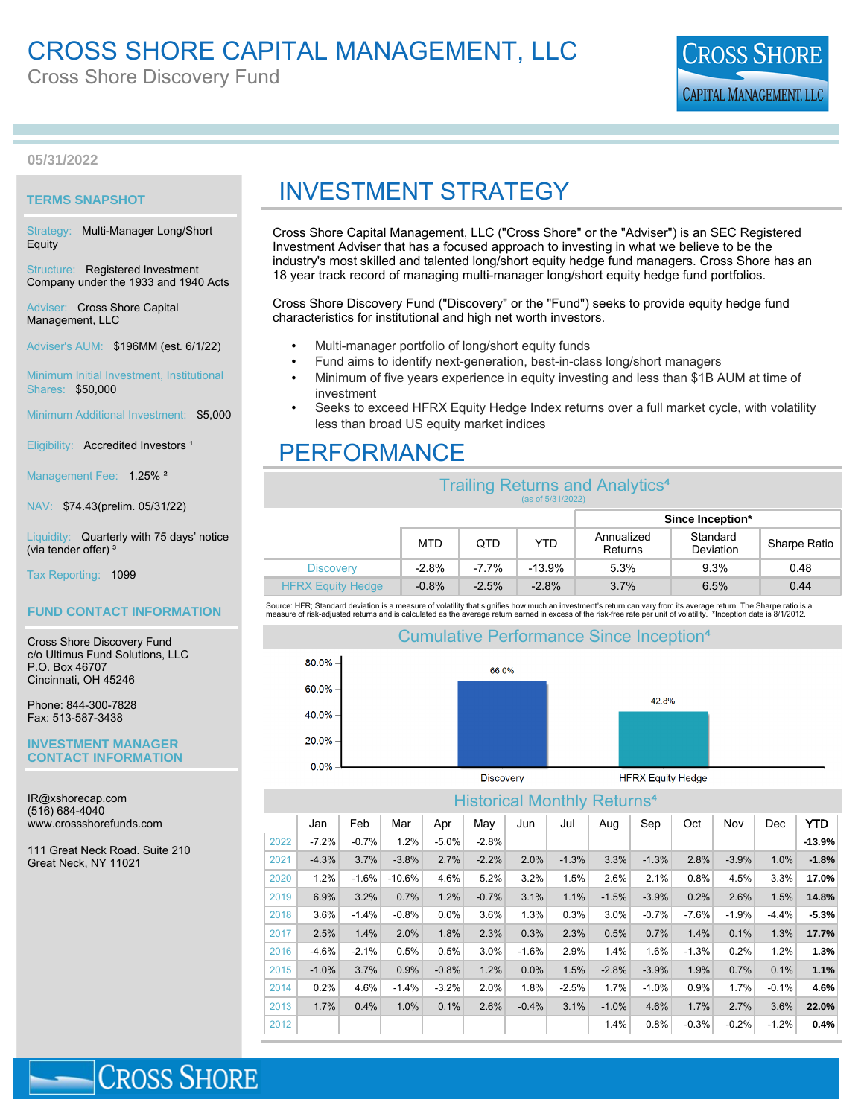# CROSS SHORE CAPITAL MANAGEMENT, LLC

Cross Shore Discovery Fund



**05/31/2022**

## **TERMS SNAPSHOT**

Strategy: Multi-Manager Long/Short Equity

Structure: Registered Investment Company under the 1933 and 1940 Acts

Adviser: Cross Shore Capital Management, LLC

Adviser's AUM: \$196MM (est. 6/1/22)

Minimum Initial Investment, Institutional Shares: \$50,000

Minimum Additional Investment: \$5,000

Eligibility: Accredited Investors<sup>1</sup>

Management Fee: 1.25%<sup>2</sup>

NAV: \$74.43(prelim. 05/31/22)

Liquidity: Quarterly with 75 days' notice (via tender offer)<sup>3</sup>

Tax Reporting: 1099

### **FUND CONTACT INFORMATION**

Cross Shore Discovery Fund c/o Ultimus Fund Solutions, LLC P.O. Box 46707 Cincinnati, OH 45246

Phone: 844-300-7828 Fax: 513-587-3438

#### **INVESTMENT MANAGER CONTACT INFORMATION**

IR@xshorecap.com (516) 684-4040 www.crossshorefunds.com

111 Great Neck Road. Suite 210 Great Neck, NY 11021

**CROSS SHORE** 

# INVESTMENT STRATEGY

Cross Shore Capital Management, LLC ("Cross Shore" or the "Adviser") is an SEC Registered Investment Adviser that has a focused approach to investing in what we believe to be the industry's most skilled and talented long/short equity hedge fund managers. Cross Shore has an 18 year track record of managing multi-manager long/short equity hedge fund portfolios.

Cross Shore Discovery Fund ("Discovery" or the "Fund") seeks to provide equity hedge fund characteristics for institutional and high net worth investors.

- Multi-manager portfolio of long/short equity funds
- Fund aims to identify next-generation, best-in-class long/short managers
- Minimum of five years experience in equity investing and less than \$1B AUM at time of investment
- Seeks to exceed HFRX Equity Hedge Index returns over a full market cycle, with volatility less than broad US equity market indices

# PERFORMANCE

| <b>Trailing Returns and Analytics<sup>4</sup></b><br>(as of 5/31/2022) |            |          |          |                       |                       |              |  |  |  |
|------------------------------------------------------------------------|------------|----------|----------|-----------------------|-----------------------|--------------|--|--|--|
|                                                                        |            |          |          | Since Inception*      |                       |              |  |  |  |
|                                                                        | <b>MTD</b> | QTD      | YTD.     | Annualized<br>Returns | Standard<br>Deviation | Sharpe Ratio |  |  |  |
| <b>Discovery</b>                                                       | $-2.8%$    | $-7.7\%$ | $-13.9%$ | 5.3%                  | 9.3%                  | 0.48         |  |  |  |
| <b>HFRX Equity Hedge</b>                                               | $-0.8%$    | $-2.5%$  | $-2.8%$  | 3.7%                  | 6.5%                  | 0.44         |  |  |  |

Source: HFR; Standard deviation is a measure of volatility that signifies how much an investment's return can vary from its average return. The Sharpe ratio is a<br>measure of risk-adjusted returns and is calculated as the av

# Cumulative Performance Since Inception



# Historical Monthly Returns

|      | <u>FIIJULIJUAI IVIULIUITY</u><br>110001110 |         |          |         |         |         |         |         |         |         |         |         |          |
|------|--------------------------------------------|---------|----------|---------|---------|---------|---------|---------|---------|---------|---------|---------|----------|
|      | Jan                                        | Feb     | Mar      | Apr     | May     | Jun     | Jul     | Aug     | Sep     | Oct     | Nov     | Dec     | YTD      |
| 2022 | $-7.2%$                                    | $-0.7%$ | 1.2%     | $-5.0%$ | $-2.8%$ |         |         |         |         |         |         |         | $-13.9%$ |
| 2021 | $-4.3%$                                    | 3.7%    | $-3.8%$  | 2.7%    | $-2.2%$ | 2.0%    | $-1.3%$ | 3.3%    | $-1.3%$ | 2.8%    | $-3.9%$ | 1.0%    | $-1.8%$  |
| 2020 | 1.2%                                       | $-1.6%$ | $-10.6%$ | 4.6%    | 5.2%    | 3.2%    | 1.5%    | 2.6%    | 2.1%    | 0.8%    | 4.5%    | 3.3%    | 17.0%    |
| 2019 | 6.9%                                       | 3.2%    | 0.7%     | 1.2%    | $-0.7%$ | 3.1%    | 1.1%    | $-1.5%$ | $-3.9%$ | 0.2%    | 2.6%    | 1.5%    | 14.8%    |
| 2018 | 3.6%                                       | $-1.4%$ | $-0.8%$  | 0.0%    | 3.6%    | 1.3%    | 0.3%    | 3.0%    | $-0.7%$ | $-7.6%$ | $-1.9%$ | $-4.4%$ | $-5.3%$  |
| 2017 | 2.5%                                       | 1.4%    | 2.0%     | 1.8%    | 2.3%    | 0.3%    | 2.3%    | 0.5%    | 0.7%    | 1.4%    | 0.1%    | 1.3%    | 17.7%    |
| 2016 | $-4.6%$                                    | $-2.1%$ | 0.5%     | 0.5%    | 3.0%    | $-1.6%$ | 2.9%    | 1.4%    | 1.6%    | $-1.3%$ | 0.2%    | 1.2%    | 1.3%     |
| 2015 | $-1.0%$                                    | 3.7%    | 0.9%     | $-0.8%$ | 1.2%    | 0.0%    | 1.5%    | $-2.8%$ | $-3.9%$ | 1.9%    | 0.7%    | 0.1%    | 1.1%     |
| 2014 | 0.2%                                       | 4.6%    | $-1.4%$  | $-3.2%$ | 2.0%    | 1.8%    | $-2.5%$ | 1.7%    | $-1.0%$ | 0.9%    | 1.7%    | $-0.1%$ | 4.6%     |
| 2013 | 1.7%                                       | 0.4%    | 1.0%     | 0.1%    | 2.6%    | $-0.4%$ | 3.1%    | $-1.0%$ | 4.6%    | 1.7%    | 2.7%    | 3.6%    | 22.0%    |
| 2012 |                                            |         |          |         |         |         |         | 1.4%    | 0.8%    | $-0.3%$ | $-0.2%$ | $-1.2%$ | 0.4%     |